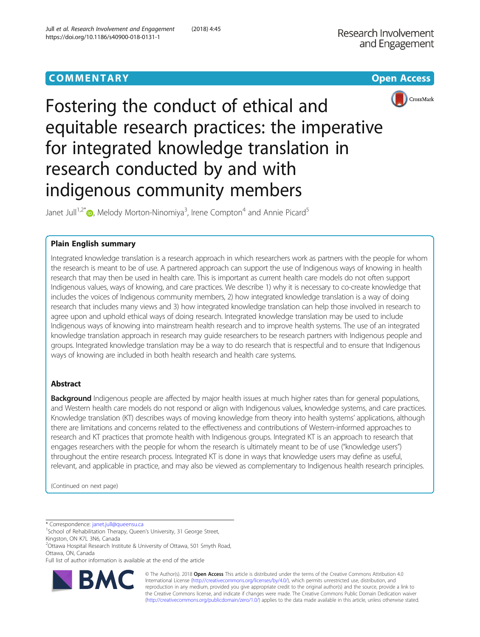# **COMMENTARY COMMENTARY Open Access**





Fostering the conduct of ethical and equitable research practices: the imperative for integrated knowledge translation in research conducted by and with indigenous community members

Janet Jull<sup>1[,](http://orcid.org/0000-0002-0404-4313)2\*</sup> $\bullet$ , Melody Morton-Ninomiya<sup>3</sup>, Irene Compton<sup>4</sup> and Annie Picard<sup>5</sup>

# Plain English summary

Integrated knowledge translation is a research approach in which researchers work as partners with the people for whom the research is meant to be of use. A partnered approach can support the use of Indigenous ways of knowing in health research that may then be used in health care. This is important as current health care models do not often support Indigenous values, ways of knowing, and care practices. We describe 1) why it is necessary to co-create knowledge that includes the voices of Indigenous community members, 2) how integrated knowledge translation is a way of doing research that includes many views and 3) how integrated knowledge translation can help those involved in research to agree upon and uphold ethical ways of doing research. Integrated knowledge translation may be used to include Indigenous ways of knowing into mainstream health research and to improve health systems. The use of an integrated knowledge translation approach in research may guide researchers to be research partners with Indigenous people and groups. Integrated knowledge translation may be a way to do research that is respectful and to ensure that Indigenous ways of knowing are included in both health research and health care systems.

# Abstract

**Background** Indigenous people are affected by major health issues at much higher rates than for general populations, and Western health care models do not respond or align with Indigenous values, knowledge systems, and care practices. Knowledge translation (KT) describes ways of moving knowledge from theory into health systems' applications, although there are limitations and concerns related to the effectiveness and contributions of Western-informed approaches to research and KT practices that promote health with Indigenous groups. Integrated KT is an approach to research that engages researchers with the people for whom the research is ultimately meant to be of use ("knowledge users") throughout the entire research process. Integrated KT is done in ways that knowledge users may define as useful, relevant, and applicable in practice, and may also be viewed as complementary to Indigenous health research principles.

(Continued on next page)

\* Correspondence: [janet.jull@queensu.ca](mailto:janet.jull@queensu.ca) <sup>1</sup>

<sup>1</sup>School of Rehabilitation Therapy, Queen's University, 31 George Street, Kingston, ON K7L 3N6, Canada

2 Ottawa Hospital Research Institute & University of Ottawa, 501 Smyth Road, Ottawa, ON, Canada

Full list of author information is available at the end of the article



© The Author(s). 2018 Open Access This article is distributed under the terms of the Creative Commons Attribution 4.0 International License [\(http://creativecommons.org/licenses/by/4.0/](http://creativecommons.org/licenses/by/4.0/)), which permits unrestricted use, distribution, and reproduction in any medium, provided you give appropriate credit to the original author(s) and the source, provide a link to the Creative Commons license, and indicate if changes were made. The Creative Commons Public Domain Dedication waiver [\(http://creativecommons.org/publicdomain/zero/1.0/](http://creativecommons.org/publicdomain/zero/1.0/)) applies to the data made available in this article, unless otherwise stated.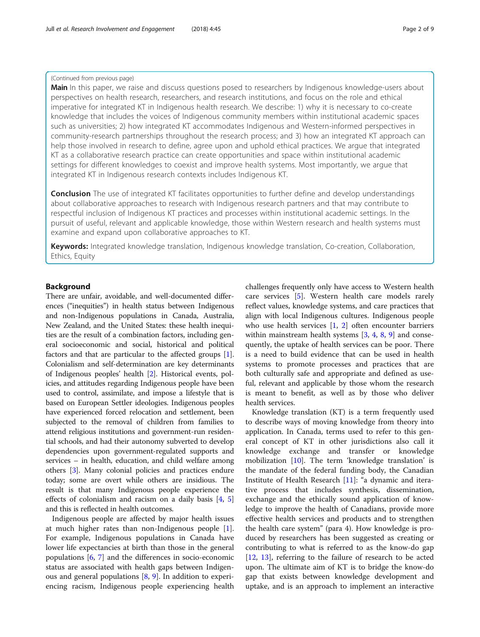### (Continued from previous page)

Main In this paper, we raise and discuss questions posed to researchers by Indigenous knowledge-users about perspectives on health research, researchers, and research institutions, and focus on the role and ethical imperative for integrated KT in Indigenous health research. We describe: 1) why it is necessary to co-create knowledge that includes the voices of Indigenous community members within institutional academic spaces such as universities; 2) how integrated KT accommodates Indigenous and Western-informed perspectives in community-research partnerships throughout the research process; and 3) how an integrated KT approach can help those involved in research to define, agree upon and uphold ethical practices. We argue that integrated KT as a collaborative research practice can create opportunities and space within institutional academic settings for different knowledges to coexist and improve health systems. Most importantly, we argue that integrated KT in Indigenous research contexts includes Indigenous KT.

**Conclusion** The use of integrated KT facilitates opportunities to further define and develop understandings about collaborative approaches to research with Indigenous research partners and that may contribute to respectful inclusion of Indigenous KT practices and processes within institutional academic settings. In the pursuit of useful, relevant and applicable knowledge, those within Western research and health systems must examine and expand upon collaborative approaches to KT.

Keywords: Integrated knowledge translation, Indigenous knowledge translation, Co-creation, Collaboration, Ethics, Equity

## Background

There are unfair, avoidable, and well-documented differences ("inequities") in health status between Indigenous and non-Indigenous populations in Canada, Australia, New Zealand, and the United States: these health inequities are the result of a combination factors, including general socioeconomic and social, historical and political factors and that are particular to the affected groups [[1](#page-7-0)]. Colonialism and self-determination are key determinants of Indigenous peoples' health [\[2](#page-7-0)]. Historical events, policies, and attitudes regarding Indigenous people have been used to control, assimilate, and impose a lifestyle that is based on European Settler ideologies. Indigenous peoples have experienced forced relocation and settlement, been subjected to the removal of children from families to attend religious institutions and government-run residential schools, and had their autonomy subverted to develop dependencies upon government-regulated supports and services – in health, education, and child welfare among others [[3](#page-7-0)]. Many colonial policies and practices endure today; some are overt while others are insidious. The result is that many Indigenous people experience the effects of colonialism and racism on a daily basis [\[4](#page-7-0), [5](#page-7-0)] and this is reflected in health outcomes.

Indigenous people are affected by major health issues at much higher rates than non-Indigenous people [\[1](#page-7-0)]. For example, Indigenous populations in Canada have lower life expectancies at birth than those in the general populations [\[6,](#page-7-0) [7](#page-7-0)] and the differences in socio-economic status are associated with health gaps between Indigenous and general populations [[8,](#page-7-0) [9\]](#page-7-0). In addition to experiencing racism, Indigenous people experiencing health

challenges frequently only have access to Western health care services [[5](#page-7-0)]. Western health care models rarely reflect values, knowledge systems, and care practices that align with local Indigenous cultures. Indigenous people who use health services  $[1, 2]$  $[1, 2]$  $[1, 2]$  $[1, 2]$  often encounter barriers within mainstream health systems [[3](#page-7-0), [4,](#page-7-0) [8,](#page-7-0) [9](#page-7-0)] and consequently, the uptake of health services can be poor. There is a need to build evidence that can be used in health systems to promote processes and practices that are both culturally safe and appropriate and defined as useful, relevant and applicable by those whom the research is meant to benefit, as well as by those who deliver health services.

Knowledge translation (KT) is a term frequently used to describe ways of moving knowledge from theory into application. In Canada, terms used to refer to this general concept of KT in other jurisdictions also call it knowledge exchange and transfer or knowledge mobilization [\[10\]](#page-7-0). The term 'knowledge translation' is the mandate of the federal funding body, the Canadian Institute of Health Research [[11\]](#page-7-0): "a dynamic and iterative process that includes synthesis, dissemination, exchange and the ethically sound application of knowledge to improve the health of Canadians, provide more effective health services and products and to strengthen the health care system" (para 4). How knowledge is produced by researchers has been suggested as creating or contributing to what is referred to as the know-do gap [[12,](#page-7-0) [13\]](#page-7-0), referring to the failure of research to be acted upon. The ultimate aim of KT is to bridge the know-do gap that exists between knowledge development and uptake, and is an approach to implement an interactive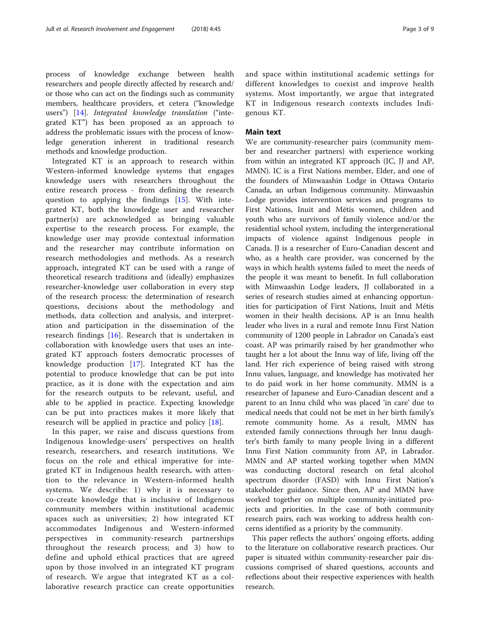process of knowledge exchange between health researchers and people directly affected by research and/ or those who can act on the findings such as community members, healthcare providers, et cetera ("knowledge users") [[14](#page-7-0)]. Integrated knowledge translation ("integrated KT") has been proposed as an approach to address the problematic issues with the process of knowledge generation inherent in traditional research methods and knowledge production.

Integrated KT is an approach to research within Western-informed knowledge systems that engages knowledge users with researchers throughout the entire research process - from defining the research question to applying the findings [\[15](#page-7-0)]. With integrated KT, both the knowledge user and researcher partner(s) are acknowledged as bringing valuable expertise to the research process. For example, the knowledge user may provide contextual information and the researcher may contribute information on research methodologies and methods. As a research approach, integrated KT can be used with a range of theoretical research traditions and (ideally) emphasizes researcher-knowledge user collaboration in every step of the research process: the determination of research questions, decisions about the methodology and methods, data collection and analysis, and interpretation and participation in the dissemination of the research findings [[16](#page-7-0)]. Research that is undertaken in collaboration with knowledge users that uses an integrated KT approach fosters democratic processes of knowledge production [\[17](#page-7-0)]. Integrated KT has the potential to produce knowledge that can be put into practice, as it is done with the expectation and aim for the research outputs to be relevant, useful, and able to be applied in practice. Expecting knowledge can be put into practices makes it more likely that research will be applied in practice and policy [[18](#page-7-0)].

In this paper, we raise and discuss questions from Indigenous knowledge-users' perspectives on health research, researchers, and research institutions. We focus on the role and ethical imperative for integrated KT in Indigenous health research, with attention to the relevance in Western-informed health systems. We describe: 1) why it is necessary to co-create knowledge that is inclusive of Indigenous community members within institutional academic spaces such as universities; 2) how integrated KT accommodates Indigenous and Western-informed perspectives in community-research partnerships throughout the research process; and 3) how to define and uphold ethical practices that are agreed upon by those involved in an integrated KT program of research. We argue that integrated KT as a collaborative research practice can create opportunities and space within institutional academic settings for different knowledges to coexist and improve health systems. Most importantly, we argue that integrated KT in Indigenous research contexts includes Indigenous KT.

# Main text

We are community-researcher pairs (community member and researcher partners) with experience working from within an integrated KT approach (IC, JJ and AP, MMN). IC is a First Nations member, Elder, and one of the founders of Minwaashin Lodge in Ottawa Ontario Canada, an urban Indigenous community. Minwaashin Lodge provides intervention services and programs to First Nations, Inuit and Métis women, children and youth who are survivors of family violence and/or the residential school system, including the intergenerational impacts of violence against Indigenous people in Canada. JJ is a researcher of Euro-Canadian descent and who, as a health care provider, was concerned by the ways in which health systems failed to meet the needs of the people it was meant to benefit. In full collaboration with Minwaashin Lodge leaders, JJ collaborated in a series of research studies aimed at enhancing opportunities for participation of First Nations, Inuit and Métis women in their health decisions. AP is an Innu health leader who lives in a rural and remote Innu First Nation community of 1200 people in Labrador on Canada's east coast. AP was primarily raised by her grandmother who taught her a lot about the Innu way of life, living off the land. Her rich experience of being raised with strong Innu values, language, and knowledge has motivated her to do paid work in her home community. MMN is a researcher of Japanese and Euro-Canadian descent and a parent to an Innu child who was placed 'in care' due to medical needs that could not be met in her birth family's remote community home. As a result, MMN has extended family connections through her Innu daughter's birth family to many people living in a different Innu First Nation community from AP, in Labrador. MMN and AP started working together when MMN was conducting doctoral research on fetal alcohol spectrum disorder (FASD) with Innu First Nation's stakeholder guidance. Since then, AP and MMN have worked together on multiple community-initiated projects and priorities. In the case of both community research pairs, each was working to address health concerns identified as a priority by the community.

This paper reflects the authors' ongoing efforts, adding to the literature on collaborative research practices. Our paper is situated within community-researcher pair discussions comprised of shared questions, accounts and reflections about their respective experiences with health research.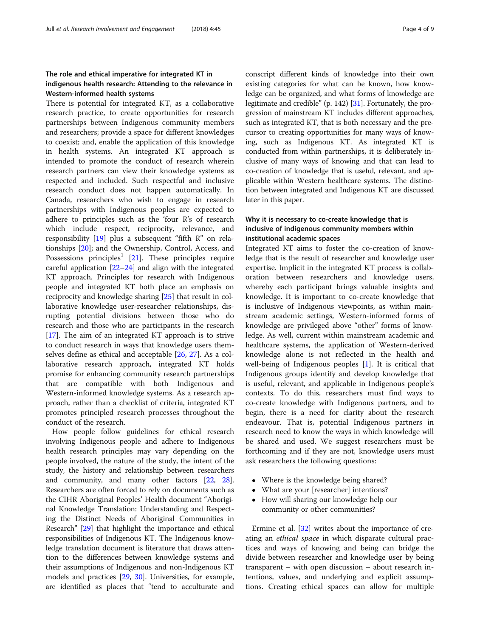# The role and ethical imperative for integrated KT in indigenous health research: Attending to the relevance in Western-informed health systems

There is potential for integrated KT, as a collaborative research practice, to create opportunities for research partnerships between Indigenous community members and researchers; provide a space for different knowledges to coexist; and, enable the application of this knowledge in health systems. An integrated KT approach is intended to promote the conduct of research wherein research partners can view their knowledge systems as respected and included. Such respectful and inclusive research conduct does not happen automatically. In Canada, researchers who wish to engage in research partnerships with Indigenous peoples are expected to adhere to principles such as the 'four R's of research which include respect, reciprocity, relevance, and responsibility [[19\]](#page-7-0) plus a subsequent "fifth R" on relationships [\[20](#page-7-0)]; and the Ownership, Control, Access, and Possessions principles<sup>1</sup> [[21\]](#page-7-0). These principles require careful application [[22](#page-7-0)–[24\]](#page-7-0) and align with the integrated KT approach. Principles for research with Indigenous people and integrated KT both place an emphasis on reciprocity and knowledge sharing [\[25](#page-8-0)] that result in collaborative knowledge user-researcher relationships, disrupting potential divisions between those who do research and those who are participants in the research [[17\]](#page-7-0). The aim of an integrated KT approach is to strive to conduct research in ways that knowledge users themselves define as ethical and acceptable [[26,](#page-8-0) [27\]](#page-8-0). As a collaborative research approach, integrated KT holds promise for enhancing community research partnerships that are compatible with both Indigenous and Western-informed knowledge systems. As a research approach, rather than a checklist of criteria, integrated KT promotes principled research processes throughout the conduct of the research.

How people follow guidelines for ethical research involving Indigenous people and adhere to Indigenous health research principles may vary depending on the people involved, the nature of the study, the intent of the study, the history and relationship between researchers and community, and many other factors [[22,](#page-7-0) [28](#page-8-0)]. Researchers are often forced to rely on documents such as the CIHR Aboriginal Peoples' Health document "Aboriginal Knowledge Translation: Understanding and Respecting the Distinct Needs of Aboriginal Communities in Research" [\[29\]](#page-8-0) that highlight the importance and ethical responsibilities of Indigenous KT. The Indigenous knowledge translation document is literature that draws attention to the differences between knowledge systems and their assumptions of Indigenous and non-Indigenous KT models and practices [\[29,](#page-8-0) [30\]](#page-8-0). Universities, for example, are identified as places that "tend to acculturate and conscript different kinds of knowledge into their own existing categories for what can be known, how knowledge can be organized, and what forms of knowledge are legitimate and credible" (p. 142) [\[31\]](#page-8-0). Fortunately, the progression of mainstream KT includes different approaches, such as integrated KT, that is both necessary and the precursor to creating opportunities for many ways of knowing, such as Indigenous KT. As integrated KT is conducted from within partnerships, it is deliberately inclusive of many ways of knowing and that can lead to co-creation of knowledge that is useful, relevant, and applicable within Western healthcare systems. The distinction between integrated and Indigenous KT are discussed later in this paper.

# Why it is necessary to co-create knowledge that is inclusive of indigenous community members within institutional academic spaces

Integrated KT aims to foster the co-creation of knowledge that is the result of researcher and knowledge user expertise. Implicit in the integrated KT process is collaboration between researchers and knowledge users, whereby each participant brings valuable insights and knowledge. It is important to co-create knowledge that is inclusive of Indigenous viewpoints, as within mainstream academic settings, Western-informed forms of knowledge are privileged above "other" forms of knowledge. As well, current within mainstream academic and healthcare systems, the application of Western-derived knowledge alone is not reflected in the health and well-being of Indigenous peoples [[1\]](#page-7-0). It is critical that Indigenous groups identify and develop knowledge that is useful, relevant, and applicable in Indigenous people's contexts. To do this, researchers must find ways to co-create knowledge with Indigenous partners, and to begin, there is a need for clarity about the research endeavour. That is, potential Indigenous partners in research need to know the ways in which knowledge will be shared and used. We suggest researchers must be forthcoming and if they are not, knowledge users must ask researchers the following questions:

- Where is the knowledge being shared?
- What are your [researcher] intentions?
- How will sharing our knowledge help our community or other communities?

Ermine et al. [\[32\]](#page-8-0) writes about the importance of creating an *ethical space* in which disparate cultural practices and ways of knowing and being can bridge the divide between researcher and knowledge user by being transparent – with open discussion – about research intentions, values, and underlying and explicit assumptions. Creating ethical spaces can allow for multiple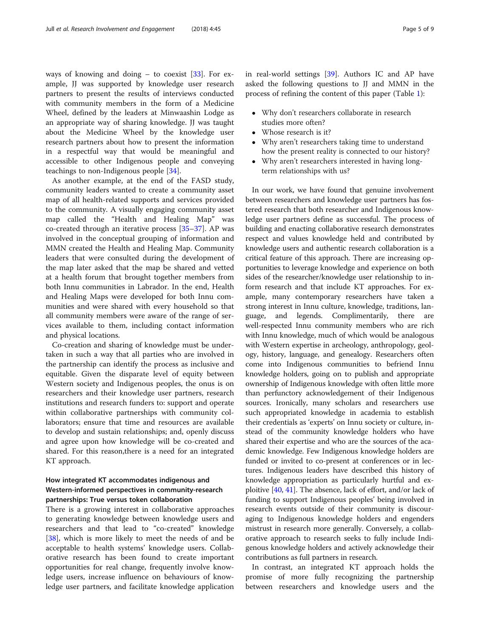ways of knowing and doing  $-$  to coexist  $[33]$  $[33]$  $[33]$ . For example, JJ was supported by knowledge user research partners to present the results of interviews conducted with community members in the form of a Medicine Wheel, defined by the leaders at Minwaashin Lodge as an appropriate way of sharing knowledge. JJ was taught about the Medicine Wheel by the knowledge user research partners about how to present the information in a respectful way that would be meaningful and accessible to other Indigenous people and conveying teachings to non-Indigenous people [[34\]](#page-8-0).

As another example, at the end of the FASD study, community leaders wanted to create a community asset map of all health-related supports and services provided to the community. A visually engaging community asset map called the "Health and Healing Map" was co-created through an iterative process [\[35](#page-8-0)–[37\]](#page-8-0). AP was involved in the conceptual grouping of information and MMN created the Health and Healing Map. Community leaders that were consulted during the development of the map later asked that the map be shared and vetted at a health forum that brought together members from both Innu communities in Labrador. In the end, Health and Healing Maps were developed for both Innu communities and were shared with every household so that all community members were aware of the range of services available to them, including contact information and physical locations.

Co-creation and sharing of knowledge must be undertaken in such a way that all parties who are involved in the partnership can identify the process as inclusive and equitable. Given the disparate level of equity between Western society and Indigenous peoples, the onus is on researchers and their knowledge user partners, research institutions and research funders to: support and operate within collaborative partnerships with community collaborators; ensure that time and resources are available to develop and sustain relationships; and, openly discuss and agree upon how knowledge will be co-created and shared. For this reason,there is a need for an integrated KT approach.

# How integrated KT accommodates indigenous and Western-informed perspectives in community-research partnerships: True versus token collaboration

There is a growing interest in collaborative approaches to generating knowledge between knowledge users and researchers and that lead to "co-created" knowledge [[38\]](#page-8-0), which is more likely to meet the needs of and be acceptable to health systems' knowledge users. Collaborative research has been found to create important opportunities for real change, frequently involve knowledge users, increase influence on behaviours of knowledge user partners, and facilitate knowledge application in real-world settings [[39\]](#page-8-0). Authors IC and AP have asked the following questions to JJ and MMN in the process of refining the content of this paper (Table [1\)](#page-5-0):

- Why don't researchers collaborate in research studies more often?
- Whose research is it?
- Why aren't researchers taking time to understand how the present reality is connected to our history?
- Why aren't researchers interested in having longterm relationships with us?

In our work, we have found that genuine involvement between researchers and knowledge user partners has fostered research that both researcher and Indigenous knowledge user partners define as successful. The process of building and enacting collaborative research demonstrates respect and values knowledge held and contributed by knowledge users and authentic research collaboration is a critical feature of this approach. There are increasing opportunities to leverage knowledge and experience on both sides of the researcher/knowledge user relationship to inform research and that include KT approaches. For example, many contemporary researchers have taken a strong interest in Innu culture, knowledge, traditions, language, and legends. Complimentarily, there are well-respected Innu community members who are rich with Innu knowledge, much of which would be analogous with Western expertise in archeology, anthropology, geology, history, language, and genealogy. Researchers often come into Indigenous communities to befriend Innu knowledge holders, going on to publish and appropriate ownership of Indigenous knowledge with often little more than perfunctory acknowledgement of their Indigenous sources. Ironically, many scholars and researchers use such appropriated knowledge in academia to establish their credentials as 'experts' on Innu society or culture, instead of the community knowledge holders who have shared their expertise and who are the sources of the academic knowledge. Few Indigenous knowledge holders are funded or invited to co-present at conferences or in lectures. Indigenous leaders have described this history of knowledge appropriation as particularly hurtful and exploitive [[40,](#page-8-0) [41](#page-8-0)]. The absence, lack of effort, and/or lack of funding to support Indigenous peoples' being involved in research events outside of their community is discouraging to Indigenous knowledge holders and engenders mistrust in research more generally. Conversely, a collaborative approach to research seeks to fully include Indigenous knowledge holders and actively acknowledge their contributions as full partners in research.

In contrast, an integrated KT approach holds the promise of more fully recognizing the partnership between researchers and knowledge users and the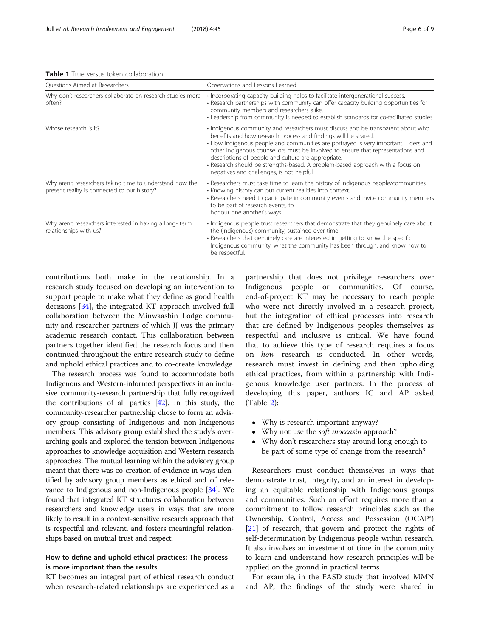<span id="page-5-0"></span>Table 1 True versus token collaboration

| Ouestions Aimed at Researchers                                                                           | Observations and Lessons Learned                                                                                                                                                                                                                                                                                                                                                                                                                                                                                    |
|----------------------------------------------------------------------------------------------------------|---------------------------------------------------------------------------------------------------------------------------------------------------------------------------------------------------------------------------------------------------------------------------------------------------------------------------------------------------------------------------------------------------------------------------------------------------------------------------------------------------------------------|
| Why don't researchers collaborate on research studies more<br>often?                                     | • Incorporating capacity building helps to facilitate intergenerational success.<br>• Research partnerships with community can offer capacity building opportunities for<br>community members and researchers alike.<br>• Leadership from community is needed to establish standards for co-facilitated studies.                                                                                                                                                                                                    |
| Whose research is it?                                                                                    | • Indigenous community and researchers must discuss and be transparent about who<br>benefits and how research process and findings will be shared.<br>• How Indigenous people and communities are portrayed is very important. Elders and<br>other Indigenous counsellors must be involved to ensure that representations and<br>descriptions of people and culture are appropriate.<br>• Research should be strengths-based. A problem-based approach with a focus on<br>negatives and challenges, is not helpful. |
| Why aren't researchers taking time to understand how the<br>present reality is connected to our history? | • Researchers must take time to learn the history of Indigenous people/communities.<br>• Knowing history can put current realities into context.<br>• Researchers need to participate in community events and invite community members<br>to be part of research events, to<br>honour one another's ways.                                                                                                                                                                                                           |
| Why aren't researchers interested in having a long-term<br>relationships with us?                        | • Indigenous people trust researchers that demonstrate that they genuinely care about<br>the (Indigenous) community, sustained over time.<br>• Researchers that genuinely care are interested in getting to know the specific<br>Indigenous community, what the community has been through, and know how to<br>be respectful.                                                                                                                                                                                       |

contributions both make in the relationship. In a research study focused on developing an intervention to support people to make what they define as good health decisions [[34\]](#page-8-0), the integrated KT approach involved full collaboration between the Minwaashin Lodge community and researcher partners of which JJ was the primary academic research contact. This collaboration between partners together identified the research focus and then continued throughout the entire research study to define and uphold ethical practices and to co-create knowledge.

The research process was found to accommodate both Indigenous and Western-informed perspectives in an inclusive community-research partnership that fully recognized the contributions of all parties [\[42\]](#page-8-0). In this study, the community-researcher partnership chose to form an advisory group consisting of Indigenous and non-Indigenous members. This advisory group established the study's overarching goals and explored the tension between Indigenous approaches to knowledge acquisition and Western research approaches. The mutual learning within the advisory group meant that there was co-creation of evidence in ways identified by advisory group members as ethical and of relevance to Indigenous and non-Indigenous people [\[34\]](#page-8-0). We found that integrated KT structures collaboration between researchers and knowledge users in ways that are more likely to result in a context-sensitive research approach that is respectful and relevant, and fosters meaningful relationships based on mutual trust and respect.

# How to define and uphold ethical practices: The process is more important than the results

KT becomes an integral part of ethical research conduct when research-related relationships are experienced as a

partnership that does not privilege researchers over Indigenous people or communities. Of course, end-of-project KT may be necessary to reach people who were not directly involved in a research project, but the integration of ethical processes into research that are defined by Indigenous peoples themselves as respectful and inclusive is critical. We have found that to achieve this type of research requires a focus on how research is conducted. In other words, research must invest in defining and then upholding ethical practices, from within a partnership with Indigenous knowledge user partners. In the process of developing this paper, authors IC and AP asked (Table [2](#page-6-0)):

- Why is research important anyway?
- Why not use the *soft moccasin* approach?
- Why don't researchers stay around long enough to be part of some type of change from the research?

Researchers must conduct themselves in ways that demonstrate trust, integrity, and an interest in developing an equitable relationship with Indigenous groups and communities. Such an effort requires more than a commitment to follow research principles such as the Ownership, Control, Access and Possession (OCAP®) [[21\]](#page-7-0) of research, that govern and protect the rights of self-determination by Indigenous people within research. It also involves an investment of time in the community to learn and understand how research principles will be applied on the ground in practical terms.

For example, in the FASD study that involved MMN and AP, the findings of the study were shared in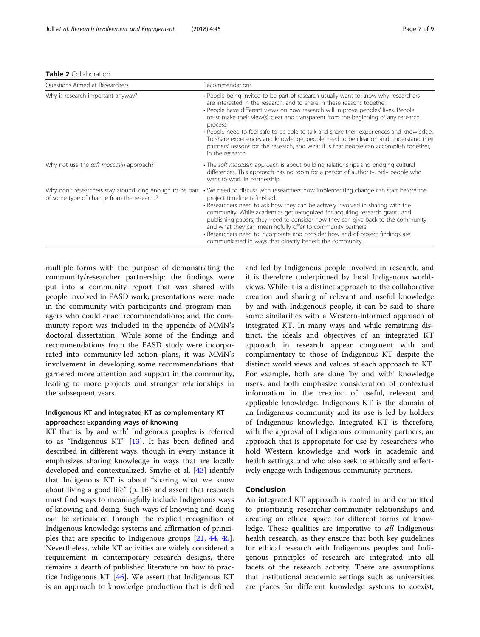### <span id="page-6-0"></span>Table 2 Collaboration

| Ouestions Aimed at Researchers                                                                        | Recommendations                                                                                                                                                                                                                                                                                                                                                                                                                                                                                                                                                                                                                                      |
|-------------------------------------------------------------------------------------------------------|------------------------------------------------------------------------------------------------------------------------------------------------------------------------------------------------------------------------------------------------------------------------------------------------------------------------------------------------------------------------------------------------------------------------------------------------------------------------------------------------------------------------------------------------------------------------------------------------------------------------------------------------------|
| Why is research important anyway?                                                                     | • People being invited to be part of research usually want to know why researchers<br>are interested in the research, and to share in these reasons together.<br>· People have different views on how research will improve peoples' lives. People<br>must make their view(s) clear and transparent from the beginning of any research<br>process.<br>• People need to feel safe to be able to talk and share their experiences and knowledge.<br>To share experiences and knowledge, people need to be clear on and understand their<br>partners' reasons for the research, and what it is that people can accomplish together,<br>in the research. |
| Why not use the soft moccasin approach?                                                               | • The soft moccasin approach is about building relationships and bridging cultural<br>differences. This approach has no room for a person of authority, only people who<br>want to work in partnership.                                                                                                                                                                                                                                                                                                                                                                                                                                              |
| Why don't researchers stay around long enough to be part<br>of some type of change from the research? | • We need to discuss with researchers how implementing change can start before the<br>project timeline is finished.<br>• Researchers need to ask how they can be actively involved in sharing with the<br>community. While academics get recognized for acquiring research grants and<br>publishing papers, they need to consider how they can give back to the community<br>and what they can meaningfully offer to community partners.<br>• Researchers need to incorporate and consider how end-of-project findings are<br>communicated in ways that directly benefit the community.                                                              |

multiple forms with the purpose of demonstrating the community/researcher partnership: the findings were put into a community report that was shared with people involved in FASD work; presentations were made in the community with participants and program managers who could enact recommendations; and, the community report was included in the appendix of MMN's doctoral dissertation. While some of the findings and recommendations from the FASD study were incorporated into community-led action plans, it was MMN's involvement in developing some recommendations that garnered more attention and support in the community, leading to more projects and stronger relationships in the subsequent years.

# Indigenous KT and integrated KT as complementary KT approaches: Expanding ways of knowing

KT that is 'by and with' Indigenous peoples is referred to as "Indigenous KT" [[13](#page-7-0)]. It has been defined and described in different ways, though in every instance it emphasizes sharing knowledge in ways that are locally developed and contextualized. Smylie et al. [\[43](#page-8-0)] identify that Indigenous KT is about "sharing what we know about living a good life" (p. 16) and assert that research must find ways to meaningfully include Indigenous ways of knowing and doing. Such ways of knowing and doing can be articulated through the explicit recognition of Indigenous knowledge systems and affirmation of principles that are specific to Indigenous groups [[21](#page-7-0), [44](#page-8-0), [45](#page-8-0)]. Nevertheless, while KT activities are widely considered a requirement in contemporary research designs, there remains a dearth of published literature on how to practice Indigenous KT [\[46](#page-8-0)]. We assert that Indigenous KT is an approach to knowledge production that is defined

and led by Indigenous people involved in research, and it is therefore underpinned by local Indigenous worldviews. While it is a distinct approach to the collaborative creation and sharing of relevant and useful knowledge by and with Indigenous people, it can be said to share some similarities with a Western-informed approach of integrated KT. In many ways and while remaining distinct, the ideals and objectives of an integrated KT approach in research appear congruent with and complimentary to those of Indigenous KT despite the distinct world views and values of each approach to KT. For example, both are done 'by and with' knowledge users, and both emphasize consideration of contextual information in the creation of useful, relevant and applicable knowledge. Indigenous KT is the domain of an Indigenous community and its use is led by holders of Indigenous knowledge. Integrated KT is therefore, with the approval of Indigenous community partners, an approach that is appropriate for use by researchers who hold Western knowledge and work in academic and health settings, and who also seek to ethically and effectively engage with Indigenous community partners.

### Conclusion

An integrated KT approach is rooted in and committed to prioritizing researcher-community relationships and creating an ethical space for different forms of knowledge. These qualities are imperative to *all* Indigenous health research, as they ensure that both key guidelines for ethical research with Indigenous peoples and Indigenous principles of research are integrated into all facets of the research activity. There are assumptions that institutional academic settings such as universities are places for different knowledge systems to coexist,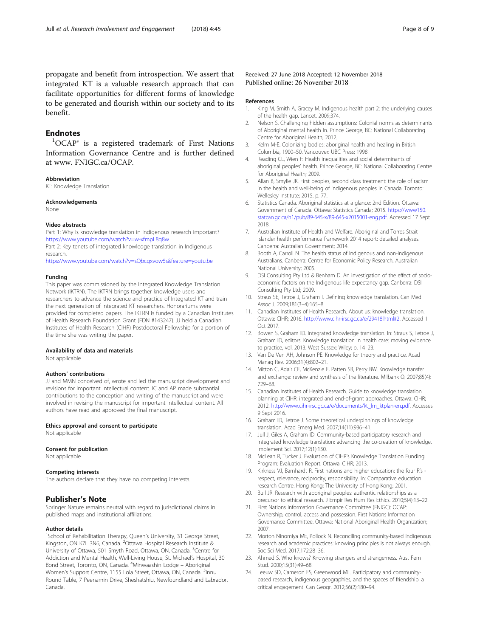<span id="page-7-0"></span>propagate and benefit from introspection. We assert that integrated KT is a valuable research approach that can facilitate opportunities for different forms of knowledge to be generated and flourish within our society and to its benefit.

# **Endnotes**

 ${}^{1}$ OCAP® is a registered trademark of First Nations Information Governance Centre and is further defined at www. FNIGC.ca/OCAP.

### Abbreviation

KT: Knowledge Translation

#### Acknowledgements

None

#### Video abstracts

Part 1: Why is knowledge translation in Indigenous research important? <https://www.youtube.com/watch?v=w-xfmpL8q8w>

Part 2: Key tenets of integrated knowledge translation in Indigenous research.

<https://www.youtube.com/watch?v=sQbcgxvow5s&feature=youtu.be>

### Funding

This paper was commissioned by the Integrated Knowledge Translation Network (IKTRN). The IKTRN brings together knowledge users and researchers to advance the science and practice of Integrated KT and train the next generation of Integrated KT researchers. Honorariums were provided for completed papers. The IKTRN is funded by a Canadian Institutes of Health Research Foundation Grant (FDN #143247). JJ held a Canadian Institutes of Health Research (CIHR) Postdoctoral Fellowship for a portion of the time she was writing the paper.

### Availability of data and materials

Not applicable

#### Authors' contributions

JJ and MMN conceived of, wrote and led the manuscript development and revisions for important intellectual content. IC and AP made substantial contributions to the conception and writing of the manuscript and were involved in revising the manuscript for important intellectual content. All authors have read and approved the final manuscript.

### Ethics approval and consent to participate

Not applicable

#### Consent for publication

Not applicable

#### Competing interests

The authors declare that they have no competing interests.

## Publisher's Note

Springer Nature remains neutral with regard to jurisdictional claims in published maps and institutional affiliations.

#### Author details

<sup>1</sup>School of Rehabilitation Therapy, Queen's University, 31 George Street, Kingston, ON K7L 3N6, Canada. <sup>2</sup>Ottawa Hospital Research Institute & University of Ottawa, 501 Smyth Road, Ottawa, ON, Canada. <sup>3</sup>Centre for Addiction and Mental Health, Well-Living House, St. Michael's Hospital, 30 Bond Street, Toronto, ON, Canada. <sup>4</sup>Minwaashin Lodge – Aboriginal Women's Support Centre, 1155 Lola Street, Ottawa, ON, Canada. <sup>5</sup>Innu Round Table, 7 Peenamin Drive, Sheshatshiu, Newfoundland and Labrador, Canada.

### Received: 27 June 2018 Accepted: 12 November 2018 Published online: 26 November 2018

#### References

- 1. King M, Smith A, Gracey M. Indigenous health part 2: the underlying causes of the health gap. Lancet. 2009;374.
- 2. Nelson S. Challenging hidden assumptions: Colonial norms as determinants of Aboriginal mental health In. Prince George, BC: National Collaborating Centre for Aboriginal Health; 2012.
- 3. Kelm M-E. Colonizing bodies: aboriginal health and healing in British Columbia, 1900–50. Vancouver: UBC Press; 1998.
- Reading CL, Wien F: Health inequalities and social determinants of aboriginal peoples' health. Prince George, BC: National Collaborating Centre for Aboriginal Health; 2009.
- 5. Allan B, Smylie JK. First peoples, second class treatment: the role of racism in the health and well-being of indigenous peoples in Canada. Toronto: Wellesley Institute; 2015. p. 77.
- 6. Statistics Canada. Aboriginal statistics at a glance: 2nd Edition. Ottawa: Government of Canada. Ottawa: Statistics Canada; 2015. [https://www150.](https://www150.statcan.gc.ca/n1/pub/89-645-x/89-645-x2015001-eng.pdf) [statcan.gc.ca/n1/pub/89-645-x/89-645-x2015001-eng.pdf](https://www150.statcan.gc.ca/n1/pub/89-645-x/89-645-x2015001-eng.pdf). Accessed 17 Sept 2018.
- 7. Australian Institute of Health and Welfare. Aboriginal and Torres Strait Islander health performance framework 2014 report: detailed analyses. Canberra: Australian Government; 2014.
- 8. Booth A, Carroll N. The health status of Indigenous and non-Indigenous Australians. Canberra: Centre for Economic Policy Research, Australian National University; 2005.
- 9. DSI Consulting Pty Ltd & Benham D. An investigation of the effect of socioeconomic factors on the Indigenous life expectancy gap. Canberra: DSI Consulting Pty Ltd; 2009.
- 10. Straus SE, Tetroe J, Graham I. Defining knowledge translation. Can Med Assoc J. 2009;181(3–4):165–8.
- 11. Canadian Institutes of Health Research. About us: knowledge translation. Ottawa: CIHR; 2016. [http://www.cihr-irsc.gc.ca/e/29418.html#2.](http://www.cihr-irsc.gc.ca/e/29418.html#2) Accessed 1 Oct 2017.
- 12. Bowen S, Graham ID. Integrated knowledge translation. In: Straus S, Tetroe J, Graham ID, editors. Knowledge translation in health care: moving evidence to practice, vol. 2013. West Sussex: Wiley; p. 14–23.
- 13. Van De Ven AH, Johnson PE. Knowledge for theory and practice. Acad Manag Rev. 2006;31(4):802–21.
- 14. Mitton C, Adair CE, McKenzie E, Patten SB, Perry BW. Knowledge transfer and exchange: review and synthesis of the literature. Milbank Q. 2007;85(4): 729–68.
- 15. Canadian Institutes of Health Research. Guide to knowledge translation planning at CIHR: integrated and end-of-grant approaches. Ottawa: CIHR; 2012. [http://www.cihr-irsc.gc.ca/e/documents/kt\\_lm\\_ktplan-en.pdf.](http://www.cihr-irsc.gc.ca/e/documents/kt_lm_ktplan-en.pdf) Accesses 9 Sept 2016.
- 16. Graham ID, Tetroe J. Some theoretical underpinnings of knowledge translation. Acad Emerg Med. 2007;14(11):936–41.
- 17. Jull J, Giles A, Graham ID. Community-based participatory research and integrated knowledge translation: advancing the co-creation of knowledge. Implement Sci. 2017;12(1):150.
- 18. McLean R, Tucker J. Evaluation of CIHR's Knowledge Translation Funding Program: Evaluation Report. Ottawa: CIHR; 2013.
- 19. Kirkness VJ, Barnhardt R. First nations and higher education: the four R's respect, relevance, reciprocity, responsibility. In: Comparative education research Centre. Hong Kong: The University of Hong Kong; 2001.
- 20. Bull JR. Research with aboriginal peoples: authentic relationships as a precursor to ethical research. J Empir Res Hum Res Ethics. 2010;5(4):13–22.
- 21. First Nations Information Governance Committee (FNIGC): OCAP: Ownership, control, access and possession. First Nations Information Governance Committee. Ottawa: National Aboriginal Health Organization; 2007.
- 22. Morton Ninomiya ME, Pollock N. Reconciling community-based indigenous research and academic practices: knowing principles is not always enough. Soc Sci Med. 2017;172:28–36.
- 23. Ahmed S. Who knows? Knowing strangers and strangerness. Aust Fem Stud. 2000;15(31):49–68.
- 24. Leeuw SD, Cameron ES, Greenwood ML. Participatory and communitybased research, indigenous geographies, and the spaces of friendship: a critical engagement. Can Geogr. 2012;56(2):180–94.